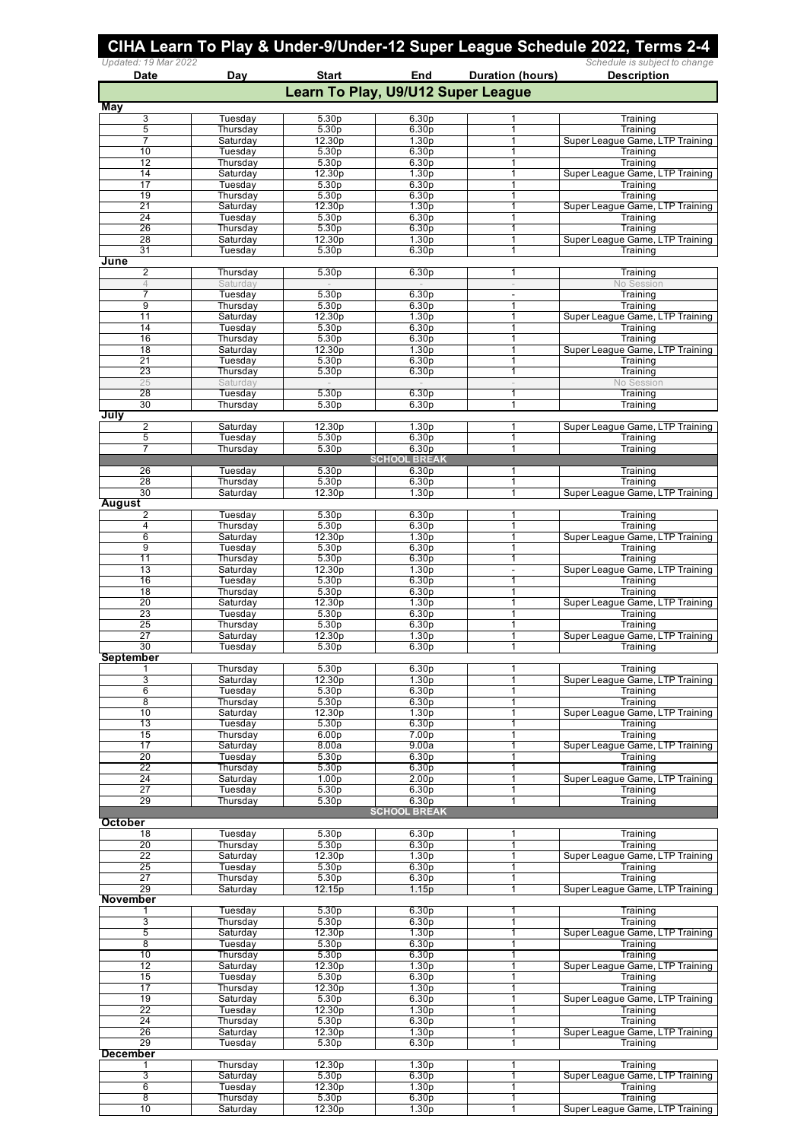| Updated: 19 Mar 2022<br>Date | Day                  | <b>Start</b>                           | End                                    | <b>Duration (hours)</b>       | Schedule is subject to change<br><b>Description</b> |
|------------------------------|----------------------|----------------------------------------|----------------------------------------|-------------------------------|-----------------------------------------------------|
|                              |                      | Learn To Play, U9/U12 Super League     |                                        |                               |                                                     |
| May                          |                      |                                        |                                        |                               |                                                     |
| 3<br>5                       | Tuesday<br>Thursday  | 5.30 <sub>p</sub><br>5.30 <sub>p</sub> | 6.30 <sub>p</sub><br>6.30 <sub>p</sub> | 1<br>1                        | Training<br>Training                                |
| 7                            | Saturday             | 12.30p                                 | 1.30 <sub>p</sub>                      | 1                             | Super League Game, LTP Training                     |
| 10                           | Tuesday              | 5.30p                                  | 6.30p                                  | 1                             | Training                                            |
| 12<br>14                     | Thursday<br>Saturday | 5.30 <sub>p</sub><br>12.30p            | 6.30 <sub>p</sub><br>1.30 <sub>p</sub> | 1<br>$\mathbf{1}$             | Training<br>Super League Game, LTP Training         |
| 17                           | Tuesday              | 5.30p                                  | 6.30p                                  | $\mathbf{1}$                  | Training                                            |
| 19                           | Thursday             | 5.30 <sub>p</sub>                      | 6.30 <sub>p</sub>                      | 1                             | Training                                            |
| 21<br>24                     | Saturday<br>Tuesday  | 12.30p<br>5.30 <sub>p</sub>            | 1.30 <sub>p</sub><br>6.30p             | 1<br>$\mathbf{1}$             | Super League Game, LTP Training<br>Training         |
| 26                           | Thursday             | 5.30 <sub>p</sub>                      | 6.30 <sub>p</sub>                      | 1                             | Training                                            |
| 28                           | Saturday             | 12.30p                                 | 1.30 <sub>p</sub>                      | 1                             | Super League Game, LTP Training                     |
| 31<br>June                   | Tuesday              | 5.30p                                  | 6.30p                                  | 1                             | Training                                            |
| 2                            | Thursday             | 5.30 <sub>p</sub>                      | 6.30 <sub>p</sub>                      | 1                             | Training                                            |
| $\overline{4}$<br>7          | Saturday             | $\sim$<br>5.30 <sub>p</sub>            | $\overline{\phantom{a}}$               | $\overline{\phantom{a}}$      | No Session                                          |
| 9                            | Tuesday<br>Thursday  | 5.30 <sub>p</sub>                      | 6.30 <sub>p</sub><br>6.30 <sub>p</sub> | $\overline{\phantom{a}}$<br>1 | Training<br>Training                                |
| 11                           | Saturday             | 12.30p                                 | 1.30 <sub>p</sub>                      | 1                             | Super League Game, LTP Training                     |
| 14<br>16                     | Tuesday              | 5.30 <sub>p</sub>                      | 6.30 <sub>p</sub>                      | 1                             | Training                                            |
| 18                           | Thursday<br>Saturday | 5.30 <sub>p</sub><br>12.30p            | 6.30 <sub>p</sub><br>1.30 <sub>p</sub> | 1<br>$\overline{1}$           | Training<br>Super League Game, LTP Training         |
| 21                           | Tuesday              | 5.30 <sub>p</sub>                      | 6.30 <sub>p</sub>                      | 1                             | Training                                            |
| 23                           | Thursday             | 5.30 <sub>p</sub>                      | 6.30p                                  | 1                             | Training                                            |
| 25<br>28                     | Saturday<br>Tuesday  | 5.30 <sub>p</sub>                      | 6.30 <sub>p</sub>                      | $\overline{\phantom{a}}$<br>1 | No Session<br>Training                              |
| 30                           | Thursday             | 5.30 <sub>p</sub>                      | 6.30 <sub>p</sub>                      | 1                             | Training                                            |
| July                         |                      |                                        |                                        |                               |                                                     |
| 2<br>5                       | Saturday<br>Tuesday  | 12.30p<br>5.30 <sub>p</sub>            | 1.30 <sub>p</sub><br>6.30 <sub>p</sub> | 1<br>1                        | Super League Game, LTP Training<br>Training         |
| 7                            | Thursday             | 5.30 <sub>p</sub>                      | 6.30 <sub>p</sub>                      | $\mathbf{1}$                  | Training                                            |
|                              |                      |                                        | <b>SCHOOL BREAK</b>                    |                               |                                                     |
| 26<br>28                     | Tuesday<br>Thursday  | 5.30 <sub>p</sub><br>5.30p             | 6.30 <sub>p</sub><br>6.30p             | 1<br>1                        | Training<br>Training                                |
| 30                           | Saturday             | 12.30p                                 | 1.30 <sub>p</sub>                      | $\mathbf{1}$                  | Super League Game, LTP Training                     |
| August                       |                      |                                        |                                        |                               |                                                     |
| 2<br>4                       | Tuesday<br>Thursday  | 5.30 <sub>p</sub><br>5.30 <sub>p</sub> | 6.30 <sub>p</sub><br>6.30 <sub>p</sub> | 1<br>1                        | Training<br>Training                                |
| 6                            | Saturday             | 12.30p                                 | 1.30 <sub>p</sub>                      | 1                             | Super League Game, LTP Training                     |
| 9                            | Tuesday              | 5.30 <sub>p</sub>                      | 6.30 <sub>p</sub>                      | 1                             | Training                                            |
| 11<br>13                     | Thursday<br>Saturday | 5.30 <sub>p</sub><br>12.30p            | 6.30p                                  | 1<br>$\blacksquare$           | Training                                            |
| 16                           | Tuesday              | 5.30 <sub>p</sub>                      | 1.30 <sub>p</sub><br>6.30 <sub>p</sub> | 1                             | Super League Game, LTP Training<br>Training         |
| 18                           | Thursday             | 5.30 <sub>p</sub>                      | 6.30 <sub>p</sub>                      | 1                             | Training                                            |
| 20                           | Saturday             | 12.30p                                 | 1.30 <sub>p</sub>                      | 1                             | Super League Game, LTP Training                     |
| 23<br>25                     | Tuesday<br>Thursday  | 5.30p<br>5.30p                         | 6.30 <sub>p</sub><br>6.30 <sub>p</sub> | 1<br>1                        | Training<br>Training                                |
| $\overline{27}$              | Saturday             | 12.30p                                 | 1.30 <sub>p</sub>                      | $\mathbf{1}$                  | Super League Game, LTP Training                     |
| 30                           | Tuesday              | 5.30p                                  | 6.30p                                  | 1                             | Training                                            |
| September                    | Thursday             | 5.30 <sub>p</sub>                      | 6.30p                                  | $\mathbf{1}$                  | Training                                            |
| 3                            | Saturday             | 12.30p                                 | 1.30 <sub>p</sub>                      | 1                             | Super League Game, LTP Training                     |
| 6                            | Tuesday              | 5.30 <sub>p</sub>                      | 6.30 <sub>p</sub>                      | 1                             | Training                                            |
| 8<br>10                      | Thursday<br>Saturday | 5.30 <sub>p</sub><br>12.30p            | 6.30 <sub>p</sub><br>1.30p             | 1<br>1                        | Training<br>Super League Game, LTP Training         |
| 13                           | Tuesday              | 5.30 <sub>p</sub>                      | 6.30p                                  | 1                             | Training                                            |
| 15                           | Thursday             | 6.00 <sub>p</sub>                      | 7.00 <sub>p</sub>                      | 1                             | Training                                            |
| 17<br>20                     | Saturday<br>Tuesday  | 8.00a<br>5.30p                         | 9.00a<br>6.30p                         | 1<br>$\mathbf{1}$             | Super League Game, LTP Training<br>Training         |
| 22                           | Thursday             | 5.30 <sub>p</sub>                      | 6.30 <sub>p</sub>                      | 1                             | Training                                            |
| 24                           | Saturday             | 1.00 <sub>p</sub>                      | 2.00 <sub>p</sub>                      | 1                             | Super League Game, LTP Training                     |
| 27<br>29                     | Tuesday              | 5.30 <sub>p</sub><br>5.30 <sub>p</sub> | 6.30 <sub>p</sub><br>6.30 <sub>p</sub> | $\mathbf{1}$<br>1             | Training<br>Training                                |
|                              | Thursday             |                                        | <b>SCHOOL BREAK</b>                    |                               |                                                     |
| October                      |                      |                                        |                                        |                               |                                                     |
| 18                           | Tuesday              | 5.30 <sub>p</sub>                      | 6.30 <sub>p</sub>                      | 1                             | Training                                            |
| 20<br>22                     | Thursday<br>Saturday | 5.30 <sub>p</sub><br>12.30p            | 6.30 <sub>p</sub><br>1.30 <sub>p</sub> | 1<br>$\mathbf{1}$             | Training<br>Super League Game, LTP Training         |
| 25                           | Tuesday              | 5.30 <sub>p</sub>                      | 6.30 <sub>p</sub>                      | 1                             | Training                                            |
| 27                           | Thursday             | 5.30p                                  | 6.30p                                  | 1                             | Training                                            |
| 29<br><b>November</b>        | Saturday             | 12.15p                                 | 1.15p                                  | $\mathbf{1}$                  | Super League Game, LTP Training                     |
|                              | Tuesday              | 5.30 <sub>p</sub>                      | 6.30 <sub>p</sub>                      | 1                             | Training                                            |
| 3                            | Thursday             | 5.30 <sub>p</sub>                      | 6.30 <sub>p</sub>                      | 1                             | Training                                            |
| 5<br>8                       | Saturday<br>Tuesday  | 12.30p<br>5.30 <sub>p</sub>            | 1.30 <sub>p</sub><br>6.30p             | 1<br>$\mathbf{1}$             | Super League Game, LTP Training<br>Training         |
| 10                           | Thursday             | 5.30 <sub>p</sub>                      | 6.30 <sub>p</sub>                      | 1                             | Training                                            |
| 12                           | Saturday             | 12.30p                                 | 1.30 <sub>p</sub>                      | 1                             | Super League Game, LTP Training                     |
| 15                           | Tuesday              | 5.30p                                  | 6.30p                                  | 1                             | Training                                            |
| 17<br>19                     | Thursday<br>Saturday | 12.30p<br>5.30 <sub>p</sub>            | 1.30 <sub>p</sub><br>6.30 <sub>p</sub> | 1<br>1                        | Training<br>Super League Game, LTP Training         |
| 22                           | Tuesday              | 12.30p                                 | 1.30 <sub>p</sub>                      | 1                             | Training                                            |
| 24                           | Thursday             | 5.30 <sub>p</sub>                      | 6.30 <sub>p</sub>                      | 1                             | Training                                            |
| 26<br>29                     | Saturday<br>Tuesday  | 12.30p<br>5.30 <sub>p</sub>            | 1.30p<br>6.30 <sub>p</sub>             | 1<br>1                        | Super League Game, LTP Training<br>Training         |
| <b>December</b>              |                      |                                        |                                        |                               |                                                     |
| 1                            | Thursday             | 12.30p                                 | 1.30 <sub>p</sub>                      | 1                             | Training                                            |
| 3<br>6                       | Saturday<br>Tuesday  | 5.30 <sub>p</sub><br>12.30p            | 6.30 <sub>p</sub><br>1.30 <sub>p</sub> | $\mathbf{1}$<br>1             | Super League Game, LTP Training<br>Training         |
| 8                            | Thursday             | 5.30p                                  | 6.30 <sub>p</sub>                      | 1                             | Training                                            |
| 10                           | Saturday             | 12.30p                                 | 1.30 <sub>p</sub>                      | $\mathbf{1}$                  | Super League Game, LTP Training                     |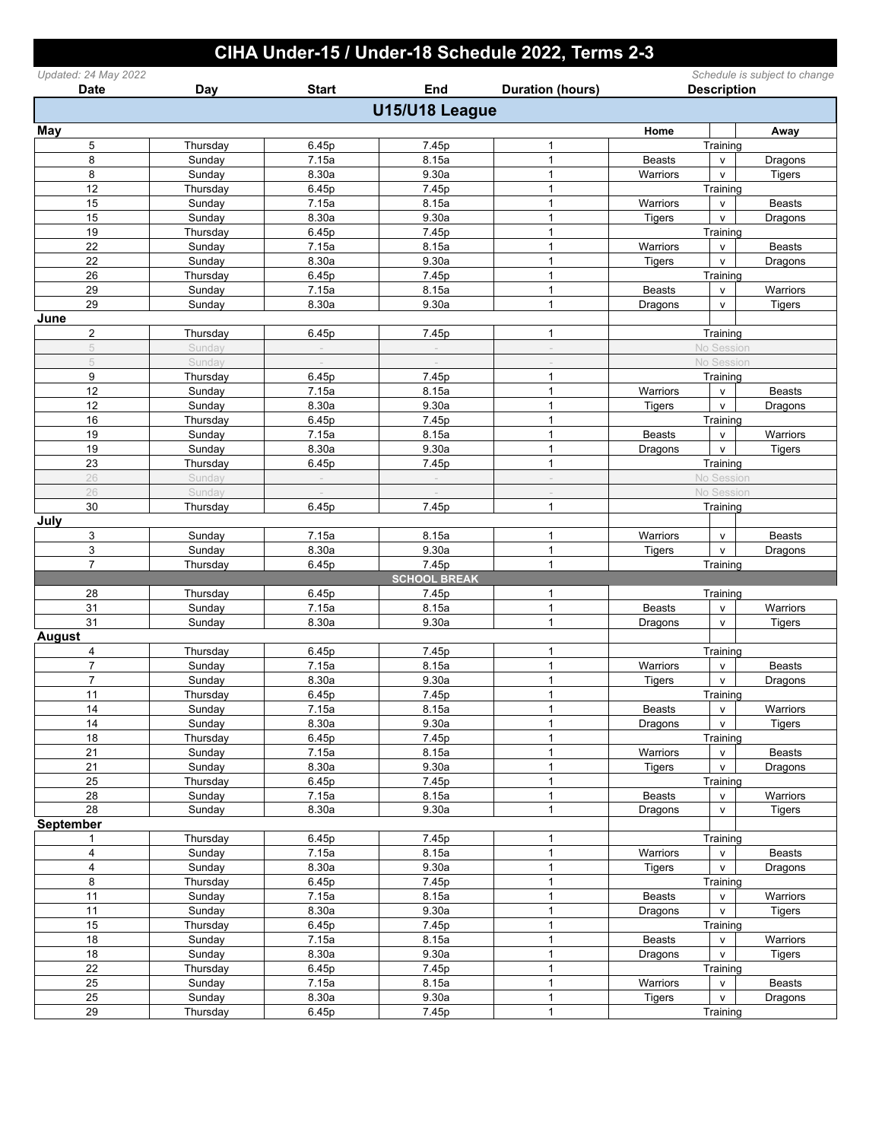## CIHA Under-15 / Under-18 Schedule 2022, Terms 2-3

| Updated: 24 May 2022<br><b>Date</b> | Day                | <b>Start</b>   | End                 | <b>Duration (hours)</b> | Schedule is subject to change<br><b>Description</b> |                              |               |
|-------------------------------------|--------------------|----------------|---------------------|-------------------------|-----------------------------------------------------|------------------------------|---------------|
|                                     |                    |                | U15/U18 League      |                         |                                                     |                              |               |
|                                     |                    |                |                     |                         |                                                     |                              |               |
| May                                 |                    |                |                     |                         | Home                                                |                              | Away          |
| 5                                   | Thursday           | 6.45p          | 7.45p               | 1<br>$\mathbf{1}$       |                                                     | Training                     |               |
| 8<br>8                              | Sunday<br>Sunday   | 7.15a<br>8.30a | 8.15a<br>9.30a      | $\mathbf{1}$            | <b>Beasts</b>                                       | $\mathsf{v}$<br>$\mathsf{v}$ | Dragons       |
| 12                                  |                    |                |                     | $\mathbf{1}$            | Warriors                                            | Training                     | <b>Tigers</b> |
| 15                                  | Thursday<br>Sunday | 6.45p          | 7.45p               | $\mathbf{1}$            |                                                     |                              |               |
| 15                                  |                    | 7.15a<br>8.30a | 8.15a<br>9.30a      | $\mathbf{1}$            | Warriors                                            | $\mathsf{V}$                 | <b>Beasts</b> |
| 19                                  | Sunday             |                |                     | 1                       | Tigers                                              | $\mathsf{V}$<br>Training     | Dragons       |
| 22                                  | Thursday           | 6.45p<br>7.15a | 7.45p<br>8.15a      | $\mathbf{1}$            | Warriors                                            |                              | <b>Beasts</b> |
|                                     | Sunday             |                |                     | $\mathbf{1}$            |                                                     | $\mathsf{v}$                 |               |
| 22<br>26                            | Sunday             | 8.30a          | 9.30a               | $\mathbf{1}$            | <b>Tigers</b>                                       | $\mathsf{V}$<br>Training     | Dragons       |
|                                     | Thursday           | 6.45p          | 7.45p               | $\mathbf{1}$            |                                                     |                              |               |
| 29<br>29                            | Sunday             | 7.15a          | 8.15a               | $\mathbf{1}$            | <b>Beasts</b>                                       | $\mathsf{V}$                 | Warriors      |
|                                     | Sunday             | 8.30a          | 9.30a               |                         | Dragons                                             | V                            | <b>Tigers</b> |
| June                                |                    |                |                     | $\mathbf{1}$            |                                                     |                              |               |
| $\overline{\mathbf{c}}$             | Thursday           | 6.45p          | 7.45p               |                         |                                                     | Training                     |               |
| 5                                   | Sunday             | $\sim$         |                     | $\sim$                  |                                                     | No Session                   |               |
| 5                                   | Sunday             |                |                     |                         |                                                     | No Session                   |               |
| 9                                   | Thursday           | 6.45p          | 7.45p               | $\mathbf{1}$            |                                                     | Training                     |               |
| 12                                  | Sunday             | 7.15a          | 8.15a               | $\mathbf{1}$            | Warriors                                            | V                            | <b>Beasts</b> |
| 12                                  | Sunday             | 8.30a          | 9.30a               | $\mathbf{1}$            | <b>Tigers</b>                                       | $\mathsf{v}$                 | Dragons       |
| 16                                  | Thursday           | 6.45p          | 7.45p               | $\mathbf{1}$            |                                                     | Training                     |               |
| 19                                  | Sunday             | 7.15a          | 8.15a               | $\mathbf{1}$            | <b>Beasts</b>                                       | V                            | Warriors      |
| 19                                  | Sunday             | 8.30a          | 9.30a               | $\mathbf{1}$            | Dragons                                             | $\mathsf{v}$                 | <b>Tigers</b> |
| 23                                  | Thursday           | 6.45p          | 7.45p               | $\mathbf{1}$            |                                                     | Training                     |               |
| 26                                  | Sunday             |                |                     |                         |                                                     | No Session                   |               |
| 26                                  | Sunday             |                |                     |                         |                                                     | No Session                   |               |
| 30                                  | Thursday           | 6.45p          | 7.45p               | $\mathbf{1}$            |                                                     | Training                     |               |
| July                                |                    |                |                     |                         |                                                     |                              |               |
| 3                                   | Sunday             | 7.15a          | 8.15a               | 1                       | Warriors                                            | V                            | <b>Beasts</b> |
| 3                                   | Sunday             | 8.30a          | 9.30a               | $\mathbf{1}$            | <b>Tigers</b>                                       | $\mathsf{V}$                 | Dragons       |
| $\overline{7}$                      | Thursday           | 6.45p          | 7.45p               | $\mathbf{1}$            |                                                     | Training                     |               |
|                                     |                    |                | <b>SCHOOL BREAK</b> |                         |                                                     |                              |               |
| 28                                  | Thursday           | 6.45p          | 7.45p               | 1                       |                                                     | Training                     |               |
| 31                                  | Sunday             | 7.15a          | 8.15a               | $\mathbf{1}$            | <b>Beasts</b>                                       | v                            | Warriors      |
| 31                                  | Sunday             | 8.30a          | 9.30a               | $\mathbf{1}$            | Dragons                                             | $\mathsf{V}$                 | <b>Tigers</b> |
| <b>August</b>                       |                    |                |                     |                         |                                                     |                              |               |
| 4                                   | Thursday           | 6.45p          | 7.45p               | $\mathbf{1}$            |                                                     | Training                     |               |
| $\overline{7}$                      | Sunday             | 7.15a          | 8.15a               | $\mathbf{1}$            | Warriors                                            | $\mathsf{v}$                 | <b>Beasts</b> |
| $\overline{7}$                      | Sunday             | 8.30a          | 9.30a               | 1                       | <b>Tigers</b>                                       | $\mathsf{v}$                 | Dragons       |
| 11                                  | Thursday           | 6.45p          | 7.45p               | $\mathbf{1}$            |                                                     | Training                     |               |
| 14                                  | Sunday             | 7.15a          | 8.15a               | $\mathbf{1}$            | <b>Beasts</b>                                       | $\mathsf{v}$                 | Warriors      |
| 14                                  | Sunday             | 8.30a          | 9.30a               | $\mathbf{1}$            | Dragons                                             | ${\sf v}$                    | <b>Tigers</b> |
| 18                                  | Thursday           | 6.45p          | 7.45p               | $\mathbf{1}$            |                                                     | Training                     |               |
| 21                                  | Sunday             | 7.15a          | 8.15a               | $\mathbf{1}$            | Warriors                                            | v                            | <b>Beasts</b> |
| 21                                  | Sunday             | 8.30a          | 9.30a               | $\mathbf{1}$            | <b>Tigers</b>                                       | v                            | Dragons       |
| 25                                  | Thursday           | 6.45p          | 7.45p               | $\mathbf{1}$            |                                                     | Training                     |               |
| 28                                  | Sunday             | 7.15a          | 8.15a               | $\mathbf{1}$            | <b>Beasts</b>                                       | V                            | Warriors      |
| 28                                  | Sunday             | 8.30a          | 9.30a               | $\mathbf{1}$            | Dragons                                             | V                            | <b>Tigers</b> |
| <b>September</b>                    |                    |                |                     |                         |                                                     |                              |               |
| 1                                   | Thursday           | 6.45p          | 7.45p               | 1                       |                                                     | Training                     |               |
| 4                                   | Sunday             | 7.15a          | 8.15a               | $\mathbf{1}$            | Warriors                                            | $\mathsf{v}$                 | <b>Beasts</b> |
| 4                                   | Sunday             | 8.30a          | 9.30a               | $\mathbf{1}$            | <b>Tigers</b>                                       | $\mathsf{v}$                 | Dragons       |
| 8                                   | Thursday           | 6.45p          | 7.45p               | 1                       |                                                     | Training                     |               |
| 11                                  | Sunday             | 7.15a          | 8.15a               | $\mathbf 1$             | <b>Beasts</b>                                       | V                            | Warriors      |
| 11                                  | Sunday             | 8.30a          | 9.30a               | $\mathbf{1}$            | Dragons                                             | $\mathsf{v}$                 | <b>Tigers</b> |
| 15                                  | Thursday           | 6.45p          | 7.45p               | $\mathbf{1}$            |                                                     | Training                     |               |
| 18                                  | Sunday             | 7.15a          | 8.15a               | $\mathbf{1}$            | <b>Beasts</b>                                       | v                            | Warriors      |
| 18                                  | Sunday             | 8.30a          | 9.30a               | $\mathbf{1}$            | Dragons                                             | $\mathsf{v}$                 | <b>Tigers</b> |
| 22                                  | Thursday           | 6.45p          | 7.45p               | 1                       |                                                     | Training                     |               |
| 25                                  | Sunday             | 7.15a          | 8.15a               | $\mathbf{1}$            | Warriors                                            | V                            | <b>Beasts</b> |
| 25                                  | Sunday             | 8.30a          | 9.30a               | $\mathbf 1$             | <b>Tigers</b>                                       | $\mathsf{v}$                 | Dragons       |
| $\overline{29}$                     | Thursday           | 6.45p          | 7.45p               | $\mathbf 1$             |                                                     | Training                     |               |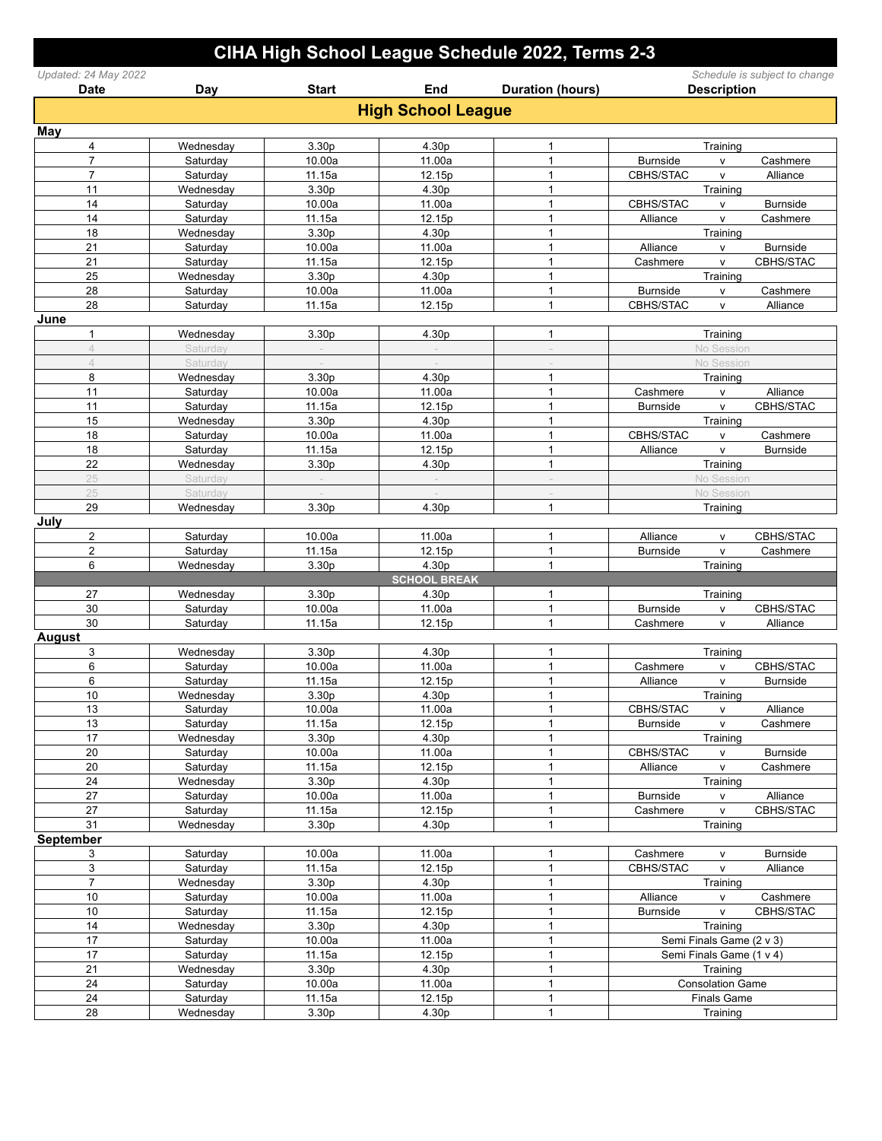|                                     |                       |                             |                              | CIHA High School League Schedule 2022, Terms 2-3 |                 |                                                     |
|-------------------------------------|-----------------------|-----------------------------|------------------------------|--------------------------------------------------|-----------------|-----------------------------------------------------|
| Updated: 24 May 2022<br><b>Date</b> | Day                   | <b>Start</b>                | End                          | <b>Duration (hours)</b>                          |                 | Schedule is subject to change<br><b>Description</b> |
|                                     |                       |                             | <b>High School League</b>    |                                                  |                 |                                                     |
| May                                 |                       |                             |                              |                                                  |                 |                                                     |
| 4                                   | Wednesday             | 3.30p                       | 4.30p                        | $\mathbf{1}$                                     |                 | Training                                            |
| $\overline{7}$                      | Saturday              | 10.00a                      | 11.00a                       | $\mathbf{1}$                                     | <b>Burnside</b> | Cashmere<br>v                                       |
| $\overline{7}$                      | Saturday              | 11.15a                      | 12.15p                       | $\mathbf{1}$                                     | CBHS/STAC       | Alliance<br>v                                       |
| 11                                  | Wednesday             | 3.30p                       | 4.30p                        | $\mathbf{1}$                                     |                 | Training                                            |
| 14                                  | Saturday              | 10.00a                      | 11.00a                       | $\mathbf{1}$                                     | CBHS/STAC       | <b>Burnside</b><br>v                                |
| 14<br>18                            | Saturday              | 11.15a<br>3.30 <sub>p</sub> | 12.15p<br>4.30p              | $\mathbf{1}$<br>$\mathbf{1}$                     | Alliance        | Cashmere<br>V                                       |
| 21                                  | Wednesday<br>Saturday | 10.00a                      | 11.00a                       | $\mathbf{1}$                                     | Alliance        | Training<br><b>Burnside</b><br>v                    |
| 21                                  | Saturday              | 11.15a                      | 12.15p                       | $\mathbf{1}$                                     | Cashmere        | CBHS/STAC<br>v                                      |
| 25                                  | Wednesday             | 3.30 <sub>p</sub>           | 4.30p                        | $\mathbf{1}$                                     |                 | Training                                            |
| 28                                  | Saturday              | 10.00a                      | 11.00a                       | $\mathbf{1}$                                     | <b>Burnside</b> | Cashmere<br>v                                       |
| 28                                  | Saturday              | 11.15a                      | 12.15p                       | $\mathbf{1}$                                     | CBHS/STAC       | Alliance<br>v                                       |
| June                                |                       |                             |                              |                                                  |                 |                                                     |
| 1                                   | Wednesday             | 3.30p                       | 4.30p                        | $\mathbf{1}$                                     |                 | Training                                            |
| $\overline{4}$                      | Saturday              |                             |                              |                                                  |                 | No Session                                          |
| $\triangle$                         | Saturday              |                             |                              |                                                  |                 | No Session                                          |
| 8                                   | Wednesday             | 3.30p                       | 4.30p                        | $\mathbf{1}$                                     |                 | Training                                            |
| 11                                  | Saturday              | 10.00a                      | 11.00a                       | $\mathbf{1}$                                     | Cashmere        | Alliance<br>v                                       |
| 11<br>15                            | Saturday              | 11.15a<br>3.30p             | 12.15p<br>4.30p              | $\mathbf{1}$<br>1                                | <b>Burnside</b> | CBHS/STAC<br>v                                      |
| 18                                  | Wednesday<br>Saturday | 10.00a                      | 11.00a                       | $\mathbf{1}$                                     | CBHS/STAC       | Training<br>Cashmere<br>V                           |
| 18                                  | Saturday              | 11.15a                      | 12.15p                       | $\mathbf{1}$                                     | Alliance        | Burnside<br>v                                       |
| 22                                  | Wednesday             | 3.30p                       | 4.30p                        | 1                                                |                 | Training                                            |
| 25                                  | Saturday              |                             |                              |                                                  |                 | No Session                                          |
| 25                                  | Saturday              |                             |                              |                                                  |                 | No Session                                          |
| 29                                  | Wednesday             | 3.30p                       | 4.30p                        | $\mathbf{1}$                                     |                 | Training                                            |
| July                                |                       |                             |                              |                                                  |                 |                                                     |
| $\overline{\mathbf{c}}$             | Saturday              | 10.00a                      | 11.00a                       | $\mathbf{1}$                                     | Alliance        | CBHS/STAC<br>v                                      |
| 2                                   | Saturday              | 11.15a                      | 12.15p                       | $\mathbf{1}$                                     | <b>Burnside</b> | v<br>Cashmere                                       |
| 6                                   | Wednesday             | 3.30p                       | 4.30p                        | $\mathbf{1}$                                     |                 | Training                                            |
| 27                                  |                       | 3.30p                       | <b>SCHOOL BREAK</b><br>4.30p | $\mathbf{1}$                                     |                 |                                                     |
| 30                                  | Wednesday<br>Saturday | 10.00a                      | 11.00a                       | $\mathbf{1}$                                     | <b>Burnside</b> | Training<br>CBHS/STAC<br>v                          |
| 30                                  | Saturday              | 11.15a                      | 12.15p                       | $\mathbf{1}$                                     | Cashmere        | v<br>Alliance                                       |
| <b>August</b>                       |                       |                             |                              |                                                  |                 |                                                     |
| 3                                   | Wednesday             | 3.30p                       | 4.30p                        | $\mathbf{1}$                                     |                 | Training                                            |
| 6                                   | Saturday              | 10.00a                      | 11.00a                       | $\mathbf{1}$                                     | Cashmere        | CBHS/STAC<br>v                                      |
| 6                                   | Saturday              | 11.15a                      | 12.15p                       | $\mathbf{1}$                                     | Alliance        | <b>Burnside</b><br>v                                |
| 10                                  | Wednesday             | 3.30p                       | 4.30p                        | 1                                                |                 | Training                                            |
| 13                                  | Saturday              | 10.00a                      | 11.00a                       | $\mathbf{1}$                                     | CBHS/STAC       | Alliance<br>$\mathsf{V}$                            |
| 13                                  | Saturday              | 11.15a                      | 12.15p                       | $\mathbf{1}$                                     | <b>Burnside</b> | V<br>Cashmere                                       |
| 17                                  | Wednesday             | 3.30 <sub>p</sub>           | 4.30p                        | $\mathbf{1}$                                     |                 | Training                                            |
| 20                                  | Saturday              | 10.00a                      | 11.00a                       | $\mathbf{1}$                                     | CBHS/STAC       | <b>Burnside</b><br>$\mathsf{V}$                     |
| 20<br>24                            | Saturday<br>Wednesday | 11.15a<br>3.30p             | 12.15p<br>4.30p              | $\mathbf{1}$<br>$\mathbf{1}$                     | Alliance        | $\mathsf{v}$<br>Cashmere<br>Training                |
| 27                                  | Saturday              | 10.00a                      | 11.00a                       | $\mathbf{1}$                                     | Burnside        | Alliance<br>v                                       |
| $27\,$                              | Saturday              | 11.15a                      | 12.15p                       | $\mathbf{1}$                                     | Cashmere        | CBHS/STAC<br>V                                      |
| 31                                  | Wednesday             | 3.30 <sub>p</sub>           | 4.30p                        | $\mathbf{1}$                                     |                 | Training                                            |
| <b>September</b>                    |                       |                             |                              |                                                  |                 |                                                     |
| 3                                   | Saturday              | 10.00a                      | 11.00a                       | $\mathbf{1}$                                     | Cashmere        | <b>Burnside</b><br>v                                |
| 3                                   | Saturday              | 11.15a                      | 12.15p                       | $\mathbf{1}$                                     | CBHS/STAC       | Alliance<br>v                                       |
| $\overline{7}$                      | Wednesday             | 3.30 <sub>p</sub>           | 4.30p                        | $\mathbf{1}$                                     |                 | Training                                            |
| 10                                  | Saturday              | 10.00a                      | 11.00a                       | $\mathbf{1}$                                     | Alliance        | Cashmere<br>V                                       |
| $10$                                | Saturday              | 11.15a                      | 12.15p                       | $\mathbf{1}$                                     | <b>Burnside</b> | CBHS/STAC<br>v                                      |
| 14                                  | Wednesday             | 3.30 <sub>p</sub>           | 4.30p                        | $\mathbf{1}$                                     |                 | Training                                            |
| 17                                  | Saturday              | 10.00a                      | 11.00a                       | $\mathbf{1}$                                     |                 | Semi Finals Game (2 v 3)                            |
| 17<br>21                            | Saturday              | 11.15a<br>3.30 <sub>p</sub> | 12.15p<br>4.30p              | $\mathbf{1}$<br>$\mathbf{1}$                     |                 | Semi Finals Game (1 v 4)                            |
| 24                                  | Wednesday<br>Saturday | 10.00a                      | 11.00a                       | $\mathbf{1}$                                     |                 | Training<br><b>Consolation Game</b>                 |
| 24                                  | Saturday              | 11.15a                      | 12.15p                       | $\mathbf{1}$                                     |                 | <b>Finals Game</b>                                  |
| $\overline{28}$                     | Wednesday             | 3.30p                       | 4.30p                        | $\mathbf{1}$                                     |                 | Training                                            |